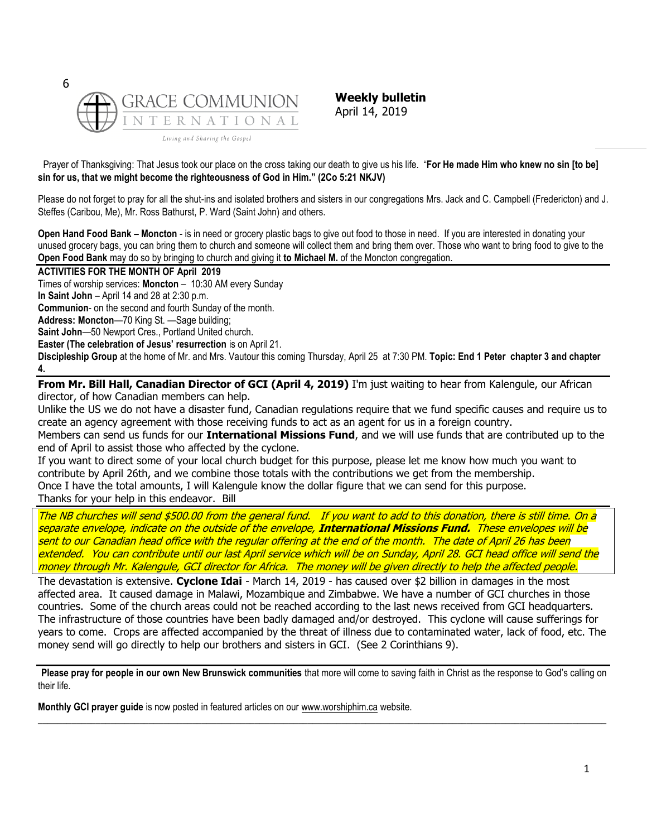

**Weekly bulletin** April 14, 2019

Prayer of Thanksgiving: That Jesus took our place on the cross taking our death to give us his life. "**For He made Him who knew no sin [to be] sin for us, that we might become the righteousness of God in Him." (2Co 5:21 NKJV)**

Please do not forget to pray for all the shut-ins and isolated brothers and sisters in our congregations Mrs. Jack and C. Campbell (Fredericton) and J. Steffes (Caribou, Me), Mr. Ross Bathurst, P. Ward (Saint John) and others.

**Open Hand Food Bank – Moncton** - is in need or grocery plastic bags to give out food to those in need. If you are interested in donating your unused grocery bags, you can bring them to church and someone will collect them and bring them over. Those who want to bring food to give to the **Open Food Bank** may do so by bringing to church and giving it **to Michael M.** of the Moncton congregation.

### **ACTIVITIES FOR THE MONTH OF April 2019**

Times of worship services: **Moncton** – 10:30 AM every Sunday

**In Saint John** – April 14 and 28 at 2:30 p.m.

**Communion**- on the second and fourth Sunday of the month.

**Address: Moncton**—70 King St. —Sage building;

**Saint John**—50 Newport Cres., Portland United church.

**Easter (The celebration of Jesus' resurrection** is on April 21.

**Discipleship Group** at the home of Mr. and Mrs. Vautour this coming Thursday, April 25 at 7:30 PM. **Topic: End 1 Peter chapter 3 and chapter 4.**

**From Mr. Bill Hall, Canadian Director of GCI (April 4, 2019)** I'm just waiting to hear from Kalengule, our African director, of how Canadian members can help.

Unlike the US we do not have a disaster fund, Canadian regulations require that we fund specific causes and require us to create an agency agreement with those receiving funds to act as an agent for us in a foreign country.

Members can send us funds for our **International Missions Fund**, and we will use funds that are contributed up to the end of April to assist those who affected by the cyclone.

If you want to direct some of your local church budget for this purpose, please let me know how much you want to contribute by April 26th, and we combine those totals with the contributions we get from the membership. Once I have the total amounts, I will Kalengule know the dollar figure that we can send for this purpose. Thanks for your help in this endeavor. Bill

The NB churches will send \$500.00 from the general fund. If you want to add to this donation, there is still time. On a separate envelope, indicate on the outside of the envelope, **International Missions Fund.** These envelopes will be sent to our Canadian head office with the regular offering at the end of the month. The date of April 26 has been extended. You can contribute until our last April service which will be on Sunday, April 28. GCI head office will send the money through Mr. Kalengule, GCI director for Africa. The money will be given directly to help the affected people.

The devastation is extensive. **Cyclone Idai** - March 14, 2019 - has caused over \$2 billion in damages in the most affected area. It caused damage in Malawi, Mozambique and Zimbabwe. We have a number of GCI churches in those countries. Some of the church areas could not be reached according to the last news received from GCI headquarters. The infrastructure of those countries have been badly damaged and/or destroyed. This cyclone will cause sufferings for years to come. Crops are affected accompanied by the threat of illness due to contaminated water, lack of food, etc. The money send will go directly to help our brothers and sisters in GCI. (See 2 Corinthians 9).

**Please pray for people in our own New Brunswick communities** that more will come to saving faith in Christ as the response to God's calling on their life.

 $\_$  , and the set of the set of the set of the set of the set of the set of the set of the set of the set of the set of the set of the set of the set of the set of the set of the set of the set of the set of the set of th

**Monthly GCI prayer guide** is now posted in featured articles on our [www.worshiphim.ca](http://www.worshiphim.ca/) website.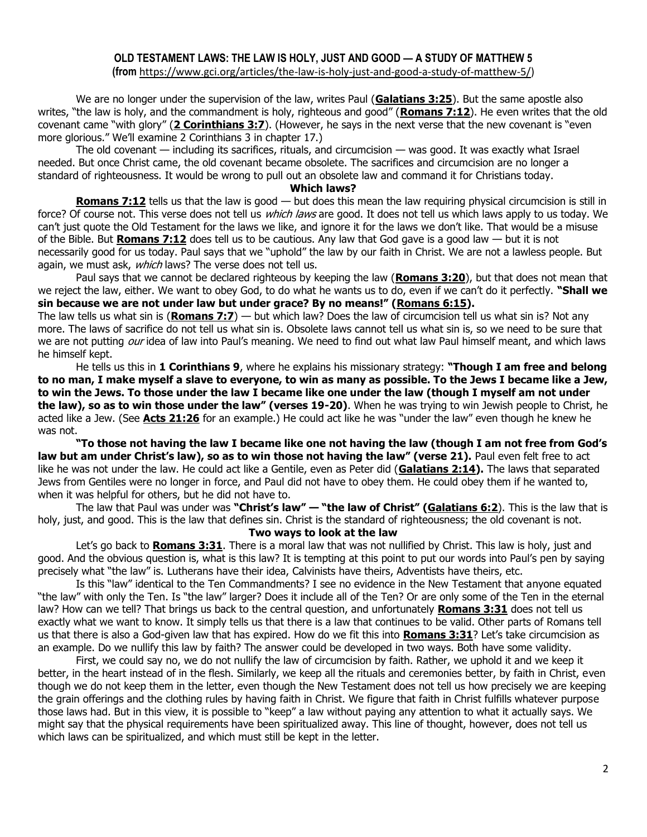# **OLD TESTAMENT LAWS: THE LAW IS HOLY, JUST AND GOOD — A STUDY OF MATTHEW 5**

**(from** [https://www.gci.org/articles/the-law-is-holy-just-and-good-a-study-of-matthew-5/\)](https://www.gci.org/articles/the-law-is-holy-just-and-good-a-study-of-matthew-5/)

We are no longer under the supervision of the law, writes Paul (**[Galatians 3:25](https://biblia.com/bible/niv/Gal%203.25)**). But the same apostle also writes, "the law is holy, and the commandment is holy, righteous and good" (**[Romans 7:12](https://biblia.com/bible/niv/Rom%207.12)**). He even writes that the old covenant came "with glory" (**[2 Corinthians 3:7](https://biblia.com/bible/niv/2%20Cor%203.7)**). (However, he says in the next verse that the new covenant is "even more glorious." We'll examine 2 Corinthians 3 in chapter 17.)

The old covenant — including its sacrifices, rituals, and circumcision — was good. It was exactly what Israel needed. But once Christ came, the old covenant became obsolete. The sacrifices and circumcision are no longer a standard of righteousness. It would be wrong to pull out an obsolete law and command it for Christians today.

### **Which laws?**

**[Romans 7:12](https://biblia.com/bible/niv/Rom%207.12)** tells us that the law is good — but does this mean the law requiring physical circumcision is still in force? Of course not. This verse does not tell us *which laws* are good. It does not tell us which laws apply to us today. We can't just quote the Old Testament for the laws we like, and ignore it for the laws we don't like. That would be a misuse of the Bible. But **[Romans 7:12](https://biblia.com/bible/niv/Rom%207.12)** does tell us to be cautious. Any law that God gave is a good law — but it is not necessarily good for us today. Paul says that we "uphold" the law by our faith in Christ. We are not a lawless people. But again, we must ask, *which* laws? The verse does not tell us.

Paul says that we cannot be declared righteous by keeping the law (**[Romans 3:20](https://biblia.com/bible/niv/Rom%203.20)**), but that does not mean that we reject the law, either. We want to obey God, to do what he wants us to do, even if we can't do it perfectly. **"Shall we sin because we are not under law but under grace? By no means!" ([Romans 6:15\)](https://biblia.com/bible/niv/Rom%206.15).**

The law tells us what sin is (**[Romans 7:7](https://biblia.com/bible/niv/Rom%207.7)**) — but which law? Does the law of circumcision tell us what sin is? Not any more. The laws of sacrifice do not tell us what sin is. Obsolete laws cannot tell us what sin is, so we need to be sure that we are not putting our idea of law into Paul's meaning. We need to find out what law Paul himself meant, and which laws he himself kept.

He tells us this in **1 Corinthians 9**, where he explains his missionary strategy: **"Though I am free and belong to no man, I make myself a slave to everyone, to win as many as possible. To the Jews I became like a Jew, to win the Jews. To those under the law I became like one under the law (though I myself am not under the law), so as to win those under the law" (verses 19-20)**. When he was trying to win Jewish people to Christ, he acted like a Jew. (See **[Acts 21:26](https://biblia.com/bible/niv/Acts%2021.26)** for an example.) He could act like he was "under the law" even though he knew he was not.

**"To those not having the law I became like one not having the law (though I am not free from God's law but am under Christ's law), so as to win those not having the law" (verse 21).** Paul even felt free to act like he was not under the law. He could act like a Gentile, even as Peter did (**[Galatians 2:14\)](https://biblia.com/bible/niv/Gal%202.14).** The laws that separated Jews from Gentiles were no longer in force, and Paul did not have to obey them. He could obey them if he wanted to, when it was helpful for others, but he did not have to.

The law that Paul was under was **"Christ's law" — "the law of Christ" ([Galatians 6:2](https://biblia.com/bible/niv/Gal%206.2)**). This is the law that is holy, just, and good. This is the law that defines sin. Christ is the standard of righteousness; the old covenant is not. **Two ways to look at the law**

Let's go back to **[Romans 3:31](https://biblia.com/bible/niv/Rom%203.31)**. There is a moral law that was not nullified by Christ. This law is holy, just and good. And the obvious question is, what is this law? It is tempting at this point to put our words into Paul's pen by saying precisely what "the law" is. Lutherans have their idea, Calvinists have theirs, Adventists have theirs, etc.

Is this "law" identical to the Ten Commandments? I see no evidence in the New Testament that anyone equated "the law" with only the Ten. Is "the law" larger? Does it include all of the Ten? Or are only some of the Ten in the eternal law? How can we tell? That brings us back to the central question, and unfortunately **[Romans 3:31](https://biblia.com/bible/niv/Rom%203.31)** does not tell us exactly what we want to know. It simply tells us that there is a law that continues to be valid. Other parts of Romans tell us that there is also a God-given law that has expired. How do we fit this into **[Romans 3:31](https://biblia.com/bible/niv/Rom%203.31)**? Let's take circumcision as an example. Do we nullify this law by faith? The answer could be developed in two ways. Both have some validity.

First, we could say no, we do not nullify the law of circumcision by faith. Rather, we uphold it and we keep it better, in the heart instead of in the flesh. Similarly, we keep all the rituals and ceremonies better, by faith in Christ, even though we do not keep them in the letter, even though the New Testament does not tell us how precisely we are keeping the grain offerings and the clothing rules by having faith in Christ. We figure that faith in Christ fulfills whatever purpose those laws had. But in this view, it is possible to "keep" a law without paying any attention to what it actually says. We might say that the physical requirements have been spiritualized away. This line of thought, however, does not tell us which laws can be spiritualized, and which must still be kept in the letter.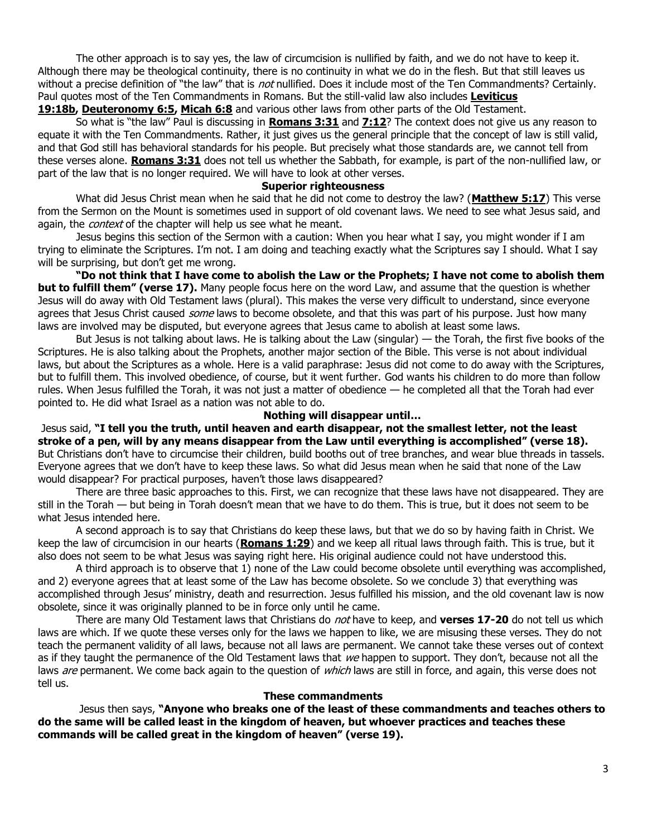The other approach is to say yes, the law of circumcision is nullified by faith, and we do not have to keep it. Although there may be theological continuity, there is no continuity in what we do in the flesh. But that still leaves us without a precise definition of "the law" that is not nullified. Does it include most of the Ten Commandments? Certainly. Paul quotes most of the Ten Commandments in Romans. But the still-valid law also includes **[Leviticus](https://biblia.com/bible/niv/Lev%2019.18b)** 

# **[19:18b,](https://biblia.com/bible/niv/Lev%2019.18b) [Deuteronomy 6:5,](https://biblia.com/bible/niv/Deut%206.5) [Micah 6:8](https://biblia.com/bible/niv/Micah%206.8)** and various other laws from other parts of the Old Testament.

So what is "the law" Paul is discussing in **[Romans](https://biblia.com/bible/niv/Rom%203.31) 3:31** and **[7:12](https://biblia.com/bible/niv/Romans%207.12)**? The context does not give us any reason to equate it with the Ten Commandments. Rather, it just gives us the general principle that the concept of law is still valid, and that God still has behavioral standards for his people. But precisely what those standards are, we cannot tell from these verses alone. **[Romans 3:31](https://biblia.com/bible/niv/Rom%203.31)** does not tell us whether the Sabbath, for example, is part of the non-nullified law, or part of the law that is no longer required. We will have to look at other verses.

### **Superior righteousness**

What did Jesus Christ mean when he said that he did not come to destroy the law? (**[Matthew 5:17](https://biblia.com/bible/niv/Matt%205.17)**) This verse from the Sermon on the Mount is sometimes used in support of old covenant laws. We need to see what Jesus said, and again, the *context* of the chapter will help us see what he meant.

Jesus begins this section of the Sermon with a caution: When you hear what I say, you might wonder if I am trying to eliminate the Scriptures. I'm not. I am doing and teaching exactly what the Scriptures say I should. What I say will be surprising, but don't get me wrong.

**"Do not think that I have come to abolish the Law or the Prophets; I have not come to abolish them but to fulfill them" (verse 17).** Many people focus here on the word Law, and assume that the question is whether Jesus will do away with Old Testament laws (plural). This makes the verse very difficult to understand, since everyone agrees that Jesus Christ caused *some* laws to become obsolete, and that this was part of his purpose. Just how many laws are involved may be disputed, but everyone agrees that Jesus came to abolish at least some laws.

But Jesus is not talking about laws. He is talking about the Law (singular) — the Torah, the first five books of the Scriptures. He is also talking about the Prophets, another major section of the Bible. This verse is not about individual laws, but about the Scriptures as a whole. Here is a valid paraphrase: Jesus did not come to do away with the Scriptures, but to fulfill them. This involved obedience, of course, but it went further. God wants his children to do more than follow rules. When Jesus fulfilled the Torah, it was not just a matter of obedience — he completed all that the Torah had ever pointed to. He did what Israel as a nation was not able to do.

### **Nothing will disappear until…**

Jesus said, **"I tell you the truth, until heaven and earth disappear, not the smallest letter, not the least stroke of a pen, will by any means disappear from the Law until everything is accomplished" (verse 18).** But Christians don't have to circumcise their children, build booths out of tree branches, and wear blue threads in tassels. Everyone agrees that we don't have to keep these laws. So what did Jesus mean when he said that none of the Law would disappear? For practical purposes, haven't those laws disappeared?

There are three basic approaches to this. First, we can recognize that these laws have not disappeared. They are still in the Torah — but being in Torah doesn't mean that we have to do them. This is true, but it does not seem to be what Jesus intended here.

A second approach is to say that Christians do keep these laws, but that we do so by having faith in Christ. We keep the law of circumcision in our hearts (**[Romans 1:29](https://biblia.com/bible/niv/Rom%201.29)**) and we keep all ritual laws through faith. This is true, but it also does not seem to be what Jesus was saying right here. His original audience could not have understood this.

A third approach is to observe that 1) none of the Law could become obsolete until everything was accomplished, and 2) everyone agrees that at least some of the Law has become obsolete. So we conclude 3) that everything was accomplished through Jesus' ministry, death and resurrection. Jesus fulfilled his mission, and the old covenant law is now obsolete, since it was originally planned to be in force only until he came.

There are many Old Testament laws that Christians do not have to keep, and **verses 17-20** do not tell us which laws are which. If we quote these verses only for the laws we happen to like, we are misusing these verses. They do not teach the permanent validity of all laws, because not all laws are permanent. We cannot take these verses out of context as if they taught the permanence of the Old Testament laws that we happen to support. They don't, because not all the laws are permanent. We come back again to the question of which laws are still in force, and again, this verse does not tell us.

### **These commandments**

Jesus then says, **"Anyone who breaks one of the least of these commandments and teaches others to do the same will be called least in the kingdom of heaven, but whoever practices and teaches these commands will be called great in the kingdom of heaven" (verse 19).**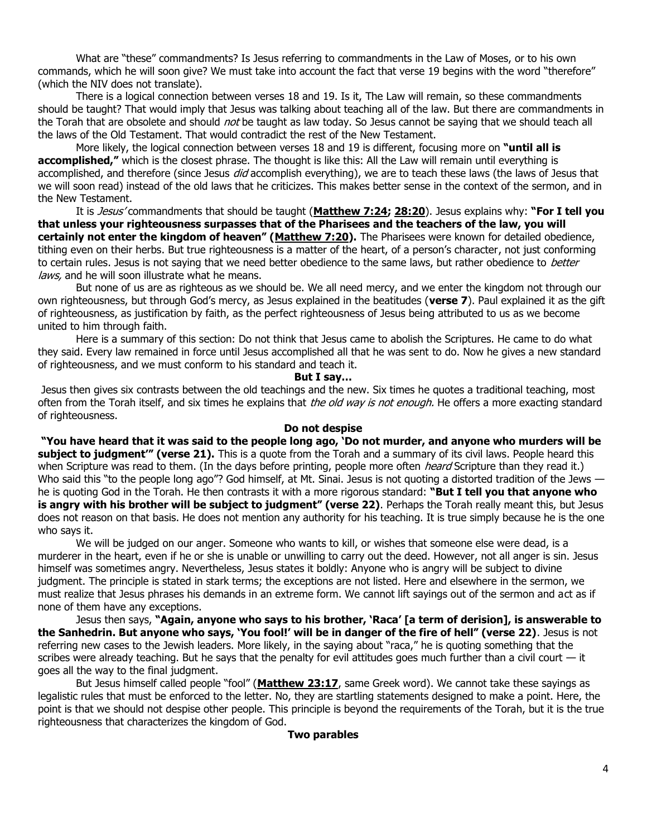What are "these" commandments? Is Jesus referring to commandments in the Law of Moses, or to his own commands, which he will soon give? We must take into account the fact that verse 19 begins with the word "therefore" (which the NIV does not translate).

There is a logical connection between verses 18 and 19. Is it, The Law will remain, so these commandments should be taught? That would imply that Jesus was talking about teaching all of the law. But there are commandments in the Torah that are obsolete and should not be taught as law today. So Jesus cannot be saying that we should teach all the laws of the Old Testament. That would contradict the rest of the New Testament.

More likely, the logical connection between verses 18 and 19 is different, focusing more on **"until all is accomplished,"** which is the closest phrase. The thought is like this: All the Law will remain until everything is accomplished, and therefore (since Jesus did accomplish everything), we are to teach these laws (the laws of Jesus that we will soon read) instead of the old laws that he criticizes. This makes better sense in the context of the sermon, and in the New Testament.

It is Jesus' commandments that should be taught (**[Matthew 7:24;](https://biblia.com/bible/niv/Matt%207.24) [28:20](https://biblia.com/bible/niv/Matthew%2028.20)**). Jesus explains why: **"For I tell you that unless your righteousness surpasses that of the Pharisees and the teachers of the law, you will certainly not enter the kingdom of heaven" ([Matthew 7:20\)](https://biblia.com/bible/niv/Matt%207.20).** The Pharisees were known for detailed obedience, tithing even on their herbs. But true righteousness is a matter of the heart, of a person's character, not just conforming to certain rules. Jesus is not saying that we need better obedience to the same laws, but rather obedience to *better* laws, and he will soon illustrate what he means.

But none of us are as righteous as we should be. We all need mercy, and we enter the kingdom not through our own righteousness, but through God's mercy, as Jesus explained in the beatitudes (**verse 7**). Paul explained it as the gift of righteousness, as justification by faith, as the perfect righteousness of Jesus being attributed to us as we become united to him through faith.

Here is a summary of this section: Do not think that Jesus came to abolish the Scriptures. He came to do what they said. Every law remained in force until Jesus accomplished all that he was sent to do. Now he gives a new standard of righteousness, and we must conform to his standard and teach it.

#### **But I say…**

Jesus then gives six contrasts between the old teachings and the new. Six times he quotes a traditional teaching, most often from the Torah itself, and six times he explains that *the old way is not enough*. He offers a more exacting standard of righteousness.

### **Do not despise**

**"You have heard that it was said to the people long ago, 'Do not murder, and anyone who murders will be subject to judgment'" (verse 21).** This is a quote from the Torah and a summary of its civil laws. People heard this when Scripture was read to them. (In the days before printing, people more often *heard* Scripture than they read it.) Who said this "to the people long ago"? God himself, at Mt. Sinai. Jesus is not quoting a distorted tradition of the Jews he is quoting God in the Torah. He then contrasts it with a more rigorous standard: **"But I tell you that anyone who is angry with his brother will be subject to judgment" (verse 22)**. Perhaps the Torah really meant this, but Jesus does not reason on that basis. He does not mention any authority for his teaching. It is true simply because he is the one who says it.

We will be judged on our anger. Someone who wants to kill, or wishes that someone else were dead, is a murderer in the heart, even if he or she is unable or unwilling to carry out the deed. However, not all anger is sin. Jesus himself was sometimes angry. Nevertheless, Jesus states it boldly: Anyone who is angry will be subject to divine judgment. The principle is stated in stark terms; the exceptions are not listed. Here and elsewhere in the sermon, we must realize that Jesus phrases his demands in an extreme form. We cannot lift sayings out of the sermon and act as if none of them have any exceptions.

Jesus then says, **"Again, anyone who says to his brother, 'Raca' [a term of derision], is answerable to the Sanhedrin. But anyone who says, 'You fool!' will be in danger of the fire of hell" (verse 22)**. Jesus is not referring new cases to the Jewish leaders. More likely, in the saying about "raca," he is quoting something that the scribes were already teaching. But he says that the penalty for evil attitudes goes much further than a civil court  $-$  it goes all the way to the final judgment.

But Jesus himself called people "fool" (**[Matthew 23:17](https://biblia.com/bible/niv/Matt%2023.17)**, same Greek word). We cannot take these sayings as legalistic rules that must be enforced to the letter. No, they are startling statements designed to make a point. Here, the point is that we should not despise other people. This principle is beyond the requirements of the Torah, but it is the true righteousness that characterizes the kingdom of God.

## **Two parables**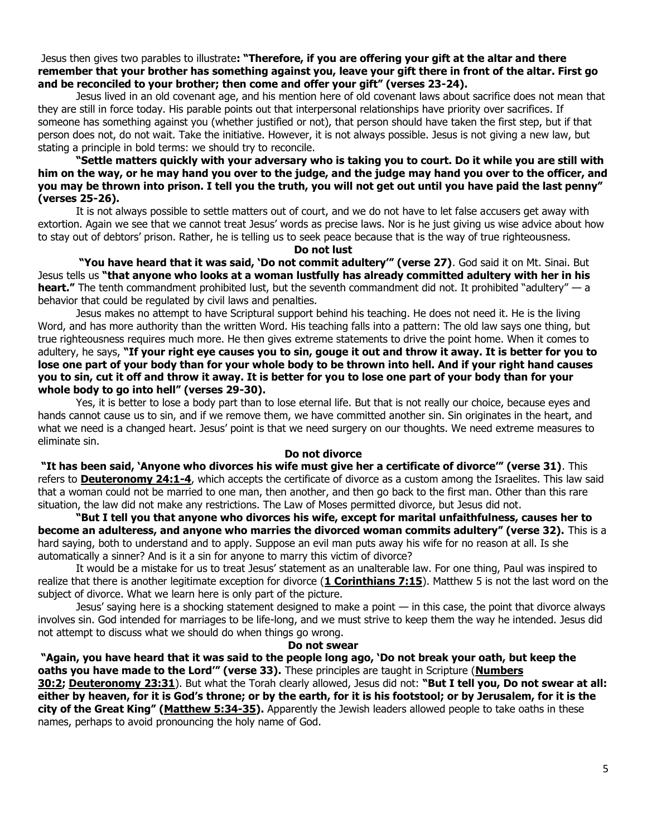## Jesus then gives two parables to illustrate**: "Therefore, if you are offering your gift at the altar and there remember that your brother has something against you, leave your gift there in front of the altar. First go and be reconciled to your brother; then come and offer your gift" (verses 23-24).**

Jesus lived in an old covenant age, and his mention here of old covenant laws about sacrifice does not mean that they are still in force today. His parable points out that interpersonal relationships have priority over sacrifices. If someone has something against you (whether justified or not), that person should have taken the first step, but if that person does not, do not wait. Take the initiative. However, it is not always possible. Jesus is not giving a new law, but stating a principle in bold terms: we should try to reconcile.

# **"Settle matters quickly with your adversary who is taking you to court. Do it while you are still with him on the way, or he may hand you over to the judge, and the judge may hand you over to the officer, and you may be thrown into prison. I tell you the truth, you will not get out until you have paid the last penny" (verses 25-26).**

It is not always possible to settle matters out of court, and we do not have to let false accusers get away with extortion. Again we see that we cannot treat Jesus' words as precise laws. Nor is he just giving us wise advice about how to stay out of debtors' prison. Rather, he is telling us to seek peace because that is the way of true righteousness.

#### **Do not lust**

**"You have heard that it was said, 'Do not commit adultery'" (verse 27)**. God said it on Mt. Sinai. But Jesus tells us **"that anyone who looks at a woman lustfully has already committed adultery with her in his heart."** The tenth commandment prohibited lust, but the seventh commandment did not. It prohibited "adultery" — a behavior that could be regulated by civil laws and penalties.

Jesus makes no attempt to have Scriptural support behind his teaching. He does not need it. He is the living Word, and has more authority than the written Word. His teaching falls into a pattern: The old law says one thing, but true righteousness requires much more. He then gives extreme statements to drive the point home. When it comes to adultery, he says, **"If your right eye causes you to sin, gouge it out and throw it away. It is better for you to lose one part of your body than for your whole body to be thrown into hell. And if your right hand causes you to sin, cut it off and throw it away. It is better for you to lose one part of your body than for your whole body to go into hell" (verses 29-30).**

Yes, it is better to lose a body part than to lose eternal life. But that is not really our choice, because eyes and hands cannot cause us to sin, and if we remove them, we have committed another sin. Sin originates in the heart, and what we need is a changed heart. Jesus' point is that we need surgery on our thoughts. We need extreme measures to eliminate sin.

### **Do not divorce**

**"It has been said, 'Anyone who divorces his wife must give her a certificate of divorce'" (verse 31)**. This refers to **[Deuteronomy 24:1-4](https://biblia.com/bible/niv/Deut%2024.1-4)**, which accepts the certificate of divorce as a custom among the Israelites. This law said that a woman could not be married to one man, then another, and then go back to the first man. Other than this rare situation, the law did not make any restrictions. The Law of Moses permitted divorce, but Jesus did not.

**"But I tell you that anyone who divorces his wife, except for marital unfaithfulness, causes her to become an adulteress, and anyone who marries the divorced woman commits adultery" (verse 32).** This is a hard saying, both to understand and to apply. Suppose an evil man puts away his wife for no reason at all. Is she automatically a sinner? And is it a sin for anyone to marry this victim of divorce?

It would be a mistake for us to treat Jesus' statement as an unalterable law. For one thing, Paul was inspired to realize that there is another legitimate exception for divorce (**[1 Corinthians 7:15](https://biblia.com/bible/niv/1%20Cor%207.15)**). Matthew 5 is not the last word on the subject of divorce. What we learn here is only part of the picture.

Jesus' saying here is a shocking statement designed to make a point — in this case, the point that divorce always involves sin. God intended for marriages to be life-long, and we must strive to keep them the way he intended. Jesus did not attempt to discuss what we should do when things go wrong.

#### **Do not swear**

**"Again, you have heard that it was said to the people long ago, 'Do not break your oath, but keep the oaths you have made to the Lord'" (verse 33).** These principles are taught in Scripture (**[Numbers](https://biblia.com/bible/niv/Num%2030.2)  [30:2;](https://biblia.com/bible/niv/Num%2030.2) [Deuteronomy 23:31](https://biblia.com/bible/niv/Deut%2023.31)**). But what the Torah clearly allowed, Jesus did not: **"But I tell you, Do not swear at all: either by heaven, for it is God's throne; or by the earth, for it is his footstool; or by Jerusalem, for it is the city of the Great King" ([Matthew 5:34-35\)](https://biblia.com/bible/niv/Matt%205.34-35).** Apparently the Jewish leaders allowed people to take oaths in these names, perhaps to avoid pronouncing the holy name of God.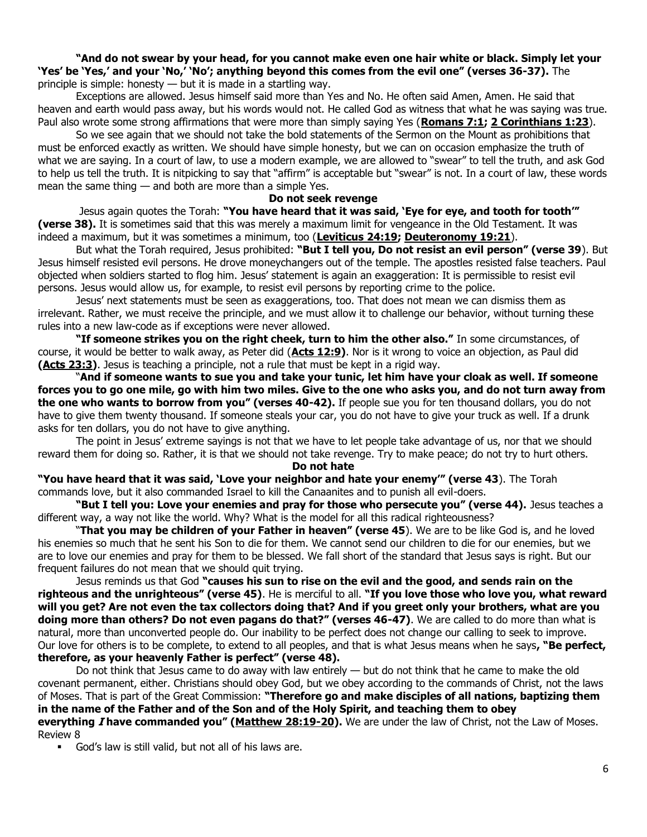### **"And do not swear by your head, for you cannot make even one hair white or black. Simply let your 'Yes' be 'Yes,' and your 'No,' 'No'; anything beyond this comes from the evil one" (verses 36-37).** The principle is simple: honesty — but it is made in a startling way.

Exceptions are allowed. Jesus himself said more than Yes and No. He often said Amen, Amen. He said that heaven and earth would pass away, but his words would not. He called God as witness that what he was saying was true. Paul also wrote some strong affirmations that were more than simply saying Yes (**[Romans 7:1;](https://biblia.com/bible/niv/Rom%207.1) [2 Corinthians 1:23](https://biblia.com/bible/niv/2%20Cor%201.23)**).

So we see again that we should not take the bold statements of the Sermon on the Mount as prohibitions that must be enforced exactly as written. We should have simple honesty, but we can on occasion emphasize the truth of what we are saying. In a court of law, to use a modern example, we are allowed to "swear" to tell the truth, and ask God to help us tell the truth. It is nitpicking to say that "affirm" is acceptable but "swear" is not. In a court of law, these words mean the same thing — and both are more than a simple Yes.

### **Do not seek revenge**

Jesus again quotes the Torah: **"You have heard that it was said, 'Eye for eye, and tooth for tooth'" (verse 38).** It is sometimes said that this was merely a maximum limit for vengeance in the Old Testament. It was indeed a maximum, but it was sometimes a minimum, too (**[Leviticus 24:19;](https://biblia.com/bible/niv/Lev%2024.19) [Deuteronomy 19:21](https://biblia.com/bible/niv/Deut%2019.21)**).

But what the Torah required, Jesus prohibited: **"But I tell you, Do not resist an evil person" (verse 39**). But Jesus himself resisted evil persons. He drove moneychangers out of the temple. The apostles resisted false teachers. Paul objected when soldiers started to flog him. Jesus' statement is again an exaggeration: It is permissible to resist evil persons. Jesus would allow us, for example, to resist evil persons by reporting crime to the police.

Jesus' next statements must be seen as exaggerations, too. That does not mean we can dismiss them as irrelevant. Rather, we must receive the principle, and we must allow it to challenge our behavior, without turning these rules into a new law-code as if exceptions were never allowed.

**"If someone strikes you on the right cheek, turn to him the other also."** In some circumstances, of course, it would be better to walk away, as Peter did (**[Acts 12:9\)](https://biblia.com/bible/niv/Acts%2012.9)**. Nor is it wrong to voice an objection, as Paul did **[\(Acts 23:3\)](https://biblia.com/bible/niv/Acts%2023.3)**. Jesus is teaching a principle, not a rule that must be kept in a rigid way.

"**And if someone wants to sue you and take your tunic, let him have your cloak as well. If someone forces you to go one mile, go with him two miles. Give to the one who asks you, and do not turn away from the one who wants to borrow from you" (verses 40-42).** If people sue you for ten thousand dollars, you do not have to give them twenty thousand. If someone steals your car, you do not have to give your truck as well. If a drunk asks for ten dollars, you do not have to give anything.

The point in Jesus' extreme sayings is not that we have to let people take advantage of us, nor that we should reward them for doing so. Rather, it is that we should not take revenge. Try to make peace; do not try to hurt others.

#### **Do not hate**

**"You have heard that it was said, 'Love your neighbor and hate your enemy'" (verse 43**). The Torah commands love, but it also commanded Israel to kill the Canaanites and to punish all evil-doers.

**"But I tell you: Love your enemies and pray for those who persecute you" (verse 44).** Jesus teaches a different way, a way not like the world. Why? What is the model for all this radical righteousness?

"**That you may be children of your Father in heaven" (verse 45**). We are to be like God is, and he loved his enemies so much that he sent his Son to die for them. We cannot send our children to die for our enemies, but we are to love our enemies and pray for them to be blessed. We fall short of the standard that Jesus says is right. But our frequent failures do not mean that we should quit trying.

Jesus reminds us that God **"causes his sun to rise on the evil and the good, and sends rain on the righteous and the unrighteous" (verse 45)**. He is merciful to all. **"If you love those who love you, what reward will you get? Are not even the tax collectors doing that? And if you greet only your brothers, what are you doing more than others? Do not even pagans do that?" (verses 46-47)**. We are called to do more than what is natural, more than unconverted people do. Our inability to be perfect does not change our calling to seek to improve. Our love for others is to be complete, to extend to all peoples, and that is what Jesus means when he says**, "Be perfect, therefore, as your heavenly Father is perfect" (verse 48).**

Do not think that Jesus came to do away with law entirely — but do not think that he came to make the old covenant permanent, either. Christians should obey God, but we obey according to the commands of Christ, not the laws of Moses. That is part of the Great Commission: **"Therefore go and make disciples of all nations, baptizing them in the name of the Father and of the Son and of the Holy Spirit, and teaching them to obey everything I have commanded you" ([Matthew 28:19-20\)](https://biblia.com/bible/niv/Matt%2028.19-20).** We are under the law of Christ, not the Law of Moses. Review 8

▪ God's law is still valid, but not all of his laws are.